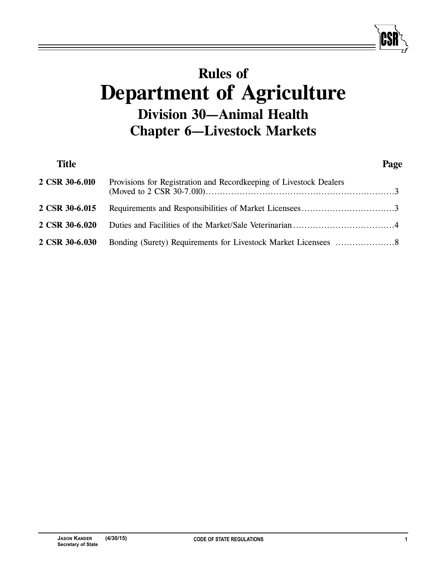# **Rules of Department of Agriculture Division 30—Animal Health Chapter 6—Livestock Markets**

| <b>Title</b>   |                                                                    | Page |
|----------------|--------------------------------------------------------------------|------|
| 2 CSR 30-6.010 | Provisions for Registration and Recordkeeping of Livestock Dealers |      |
| 2 CSR 30-6.015 |                                                                    |      |
| 2 CSR 30-6.020 |                                                                    |      |
| 2 CSR 30-6.030 |                                                                    |      |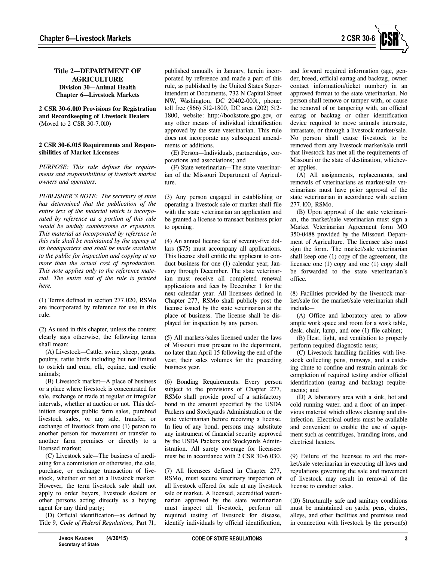

## **Title 2—DEPARTMENT OF AGRICULTURE Division 30—Animal Health Chapter 6—Livestock Markets**

**2 CSR 30-6.010 Provisions for Registration and Recordkeeping of Livestock Dealers** (Moved to 2 CSR 30-7.010)

#### **2 CSR 30-6.015 Requirements and Responsibilities of Market Licensees**

*PURPOSE: This rule defines the requirements and responsibilities of livestock market owners and operators.* 

*PUBLISHER'S NOTE: The secretary of state has determined that the publication of the entire text of the material which is incorporated by reference as a portion of this rule would be unduly cumbersome or expensive. This material as incorporated by reference in this rule shall be maintained by the agency at its headquarters and shall be made available to the public for inspection and copying at no more than the actual cost of reproduction. This note applies only to the reference material. The entire text of the rule is printed here.*

(1) Terms defined in section 277.020, RSMo are incorporated by reference for use in this rule.

(2) As used in this chapter, unless the context clearly says otherwise, the following terms shall mean:

(A) Livestock—Cattle, swine, sheep, goats, poultry, ratite birds including but not limited to ostrich and emu, elk, equine, and exotic animals;

(B) Livestock market—A place of business or a place where livestock is concentrated for sale, exchange or trade at regular or irregular intervals, whether at auction or not. This definition exempts public farm sales, purebred livestock sales, or any sale, transfer, or exchange of livestock from one (1) person to another person for movement or transfer to another farm premises or directly to a licensed market;

(C) Livestock sale—The business of mediating for a commission or otherwise, the sale, purchase, or exchange transaction of livestock, whether or not at a livestock market. However, the term livestock sale shall not apply to order buyers, livestock dealers or other persons acting directly as a buying agent for any third party;

(D) Official identification*—*as defined by Title 9, *Code of Federal Regulations,* Part 71,

(5) All markets/sales licensed under the laws of Missouri must present to the department, no later than April 15 following the end of the year, their sales volumes for the preceding business year.

> (6) Bonding Requirements. Every person subject to the provisions of Chapter 277, RSMo shall provide proof of a satisfactory bond in the amount specified by the USDA Packers and Stockyards Administration or the state veterinarian before receiving a license. In lieu of any bond, persons may substitute any instrument of financial security approved by the USDA Packers and Stockyards Administration. All surety coverage for licensees must be in accordance with 2 CSR 30-6.030.

> published annually in January, herein incorporated by reference and made a part of this rule, as published by the United States Superintendent of Documents, 732 N Capital Street NW, Washington, DC 20402-0001, phone: toll free (866) 512-1800, DC area (202) 512- 1800, website: http://bookstore.gpo.gov, or any other means of individual identification approved by the state veterinarian. This rule does not incorporate any subsequent amend-

(E) Person—Individuals, partnerships, cor-

(F) State veterinarian—The state veterinarian of the Missouri Department of Agricul-

(3) Any person engaged in establishing or operating a livestock sale or market shall file with the state veterinarian an application and be granted a license to transact business prior

(4) An annual license fee of seventy-five dollars (\$75) must accompany all applications. This license shall entitle the applicant to conduct business for one (1) calendar year, January through December. The state veterinarian must receive all completed renewal applications and fees by December 1 for the next calendar year. All licensees defined in Chapter 277, RSMo shall publicly post the license issued by the state veterinarian at the place of business. The license shall be displayed for inspection by any person.

ments or additions.

ture.

to opening.

porations and associations; and

(7) All licensees defined in Chapter 277, RSMo, must secure veterinary inspection of all livestock offered for sale at any livestock sale or market. A licensed, accredited veterinarian approved by the state veterinarian must inspect all livestock, perform all required testing of livestock for disease, identify individuals by official identification,

and forward required information (age, gender, breed, official eartag and backtag, owner contact information/ticket number) in an approved format to the state veterinarian. No person shall remove or tamper with, or cause the removal of or tampering with, an official eartag or backtag or other identification device required to move animals interstate, intrastate, or through a livestock market/sale. No person shall cause livestock to be removed from any livestock market/sale until that livestock has met all the requirements of Missouri or the state of destination, whichever applies.

(A) All assignments, replacements, and removals of veterinarians as market/sale veterinarians must have prior approval of the state veterinarian in accordance with section 277.100, RSMo.

(B) Upon approval of the state veterinarian, the market/sale veterinarian must sign a Market Veterinarian Agreement form MO 350-0488 provided by the Missouri Department of Agriculture. The licensee also must sign the form. The market/sale veterinarian shall keep one (1) copy of the agreement, the licensee one (1) copy and one (1) copy shall be forwarded to the state veterinarian's office.

(8) Facilities provided by the livestock market/sale for the market/sale veterinarian shall include—

(A) Office and laboratory area to allow ample work space and room for a work table, desk, chair, lamp, and one (1) file cabinet;

(B) Heat, light, and ventilation to properly perform required diagnostic tests;

(C) Livestock handling facilities with livestock collecting pens, runways, and a catching chute to confine and restrain animals for completion of required testing and/or official identification (eartag and backtag) requirements; and

(D) A laboratory area with a sink, hot and cold running water, and a floor of an impervious material which allows cleaning and disinfection. Electrical outlets must be available and convenient to enable the use of equipment such as centrifuges, branding irons, and electrical heaters.

(9) Failure of the licensee to aid the market/sale veterinarian in executing all laws and regulations governing the sale and movement of livestock may result in removal of the license to conduct sales.

(10) Structurally safe and sanitary conditions must be maintained on yards, pens, chutes, alleys, and other facilities and premises used in connection with livestock by the person(s)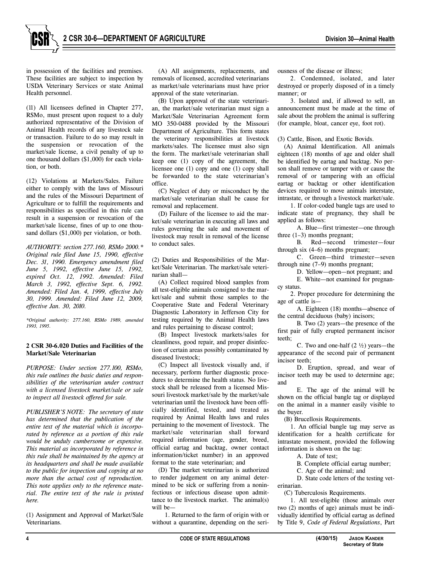

in possession of the facilities and premises. These facilities are subject to inspection by USDA Veterinary Services or state Animal Health personnel.

(11) All licensees defined in Chapter 277, RSMo, must present upon request to a duly authorized representative of the Division of Animal Health records of any livestock sale or transaction. Failure to do so may result in the suspension or revocation of the market/sale license, a civil penalty of up to one thousand dollars (\$1,000) for each violation, or both.

(12) Violations at Markets/Sales. Failure either to comply with the laws of Missouri and the rules of the Missouri Department of Agriculture or to fulfill the requirements and responsibilities as specified in this rule can result in a suspension or revocation of the market/sale license, fines of up to one thousand dollars (\$1,000) per violation, or both.

*AUTHORITY: section 277.160, RSMo 2000.\* Original rule filed June 15, 1990, effective Dec. 31, 1990. Emergency amendment filed June 5, 1992, effective June 15, 1992, expired Oct. 12, 1992. Amended: Filed March 3, 1992, effective Sept. 6, 1992. Amended: Filed Jan. 4, 1999, effective July 30, 1999. Amended: Filed June 12, 2009, effective Jan. 30, 2010.*

*\*Original authority: 277.160, RSMo 1989, amended 1993, 1995.*

#### **2 CSR 30-6.020 Duties and Facilities of the Market/Sale Veterinarian**

*PURPOSE: Under section 277.100, RSMo, this rule outlines the basic duties and responsibilities of the veterinarian under contract with a licensed livestock market/sale or sale to inspect all livestock offered for sale.* 

*PUBLISHER'S NOTE: The secretary of state has determined that the publication of the entire text of the material which is incorporated by reference as a portion of this rule would be unduly cumbersome or expensive. This material as incorporated by reference in this rule shall be maintained by the agency at its headquarters and shall be made available to the public for inspection and copying at no more than the actual cost of reproduction. This note applies only to the reference material. The entire text of the rule is printed here.*

(1) Assignment and Approval of Market/Sale Veterinarians.

(A) All assignments, replacements, and removals of licensed, accredited veterinarians as market/sale veterinarians must have prior approval of the state veterinarian.

(B) Upon approval of the state veterinarian, the market/sale veterinarian must sign a Market/Sale Veterinarian Agreement form MO 350-0488 provided by the Missouri Department of Agriculture. This form states the veterinary responsibilities at livestock markets/sales. The licensee must also sign the form. The market/sale veterinarian shall keep one (1) copy of the agreement, the licensee one (1) copy and one (1) copy shall be forwarded to the state veterinarian's office.

(C) Neglect of duty or misconduct by the market/sale veterinarian shall be cause for removal and replacement.

(D) Failure of the licensee to aid the market/sale veterinarian in executing all laws and rules governing the sale and movement of livestock may result in removal of the license to conduct sales.

(2) Duties and Responsibilities of the Market/Sale Veterinarian. The market/sale veterinarian shall—

(A) Collect required blood samples from all test-eligible animals consigned to the market/sale and submit those samples to the Cooperative State and Federal Veterinary Diagnostic Laboratory in Jefferson City for testing required by the Animal Health laws and rules pertaining to disease control;

(B) Inspect livestock markets/sales for cleanliness, good repair, and proper disinfection of certain areas possibly contaminated by diseased livestock;

(C) Inspect all livestock visually and, if necessary, perform further diagnostic procedures to determine the health status. No livestock shall be released from a licensed Missouri livestock market/sale by the market/sale veterinarian until the livestock have been officially identified, tested, and treated as required by Animal Health laws and rules pertaining to the movement of livestock. The market/sale veterinarian shall forward required information (age, gender, breed, official eartag and backtag, owner contact information/ticket number) in an approved format to the state veterinarian; and

(D) The market veterinarian is authorized to render judgement on any animal determined to be sick or suffering from a noninfectious or infectious disease upon admittance to the livestock market. The animal(s) will be—

1. Returned to the farm of origin with or without a quarantine, depending on the seriousness of the disease or illness;

2. Condemned, isolated, and later destroyed or properly disposed of in a timely manner; or

3. Isolated and, if allowed to sell, an announcement must be made at the time of sale about the problem the animal is suffering (for example, bloat, cancer eye, foot rot).

(3) Cattle, Bison, and Exotic Bovids.

(A) Animal Identification. All animals eighteen (18) months of age and older shall be identified by eartag and backtag. No person shall remove or tamper with or cause the removal of or tampering with an official eartag or backtag or other identification devices required to move animals interstate, intrastate, or through a livestock market/sale.

1. If color-coded bangle tags are used to indicate state of pregnancy, they shall be applied as follows:

A. Blue—first trimester—one through three (1–3) months pregnant;

B. Red—second trimester—four through six (4–6) months pregnant;

C. Green—third trimester—seven through nine (7–9) months pregnant;

D. Yellow—open—not pregnant; and

E. White—not examined for pregnancy status.

2. Proper procedure for determining the age of cattle is—

A. Eighteen (18) months—absence of the central deciduous (baby) incisors;

B. Two (2) years—the presence of the first pair of fully erupted permanent incisor teeth;

C. Two and one-half  $(2 \frac{1}{2})$  years—the appearance of the second pair of permanent incisor teeth:

D. Eruption, spread, and wear of incisor teeth may be used to determine age; and

E. The age of the animal will be shown on the official bangle tag or displayed on the animal in a manner easily visible to the buyer.

(B) Brucellosis Requirements.

1. An official bangle tag may serve as identification for a health certificate for intrastate movement, provided the following information is shown on the tag:

A. Date of test;

B. Complete official eartag number;

C. Age of the animal; and

D. State code letters of the testing veterinarian.

(C) Tuberculosis Requirements.

1. All test-eligible (those animals over two (2) months of age) animals must be individually identified by official eartag as defined by Title 9, *Code of Federal Regulations*, Part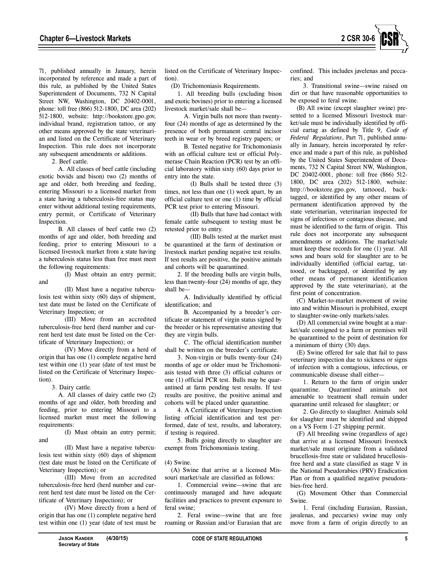

71, published annually in January, herein incorporated by reference and made a part of this rule, as published by the United States Superintendent of Documents, 732 N Capital Street NW, Washington, DC 20402-0001, phone: toll free (866) 512-1800, DC area (202) 512-1800, website: http://bookstore.gpo.gov, individual brand, registration tattoo, or any other means approved by the state veterinarian and listed on the Certificate of Veterinary Inspection. This rule does not incorporate any subsequent amendments or additions.

2. Beef cattle.

A. All classes of beef cattle (including exotic bovids and bison) two (2) months of age and older, both breeding and feeding, entering Missouri to a licensed market from a state having a tuberculosis-free status may enter without additional testing requirements, entry permit, or Certificate of Veterinary Inspection.

B. All classes of beef cattle two (2) months of age and older, both breeding and feeding, prior to entering Missouri to a licensed livestock market from a state having a tuberculosis status less than free must meet the following requirements:

(I) Must obtain an entry permit;

(II) Must have a negative tuberculosis test within sixty (60) days of shipment, test date must be listed on the Certificate of Veterinary Inspection; or

(III) Move from an accredited tuberculosis-free herd (herd number and current herd test date must be listed on the Certificate of Veterinary Inspection); or

(IV) Move directly from a herd of origin that has one (1) complete negative herd test within one (1) year (date of test must be listed on the Certificate of Veterinary Inspection).

3. Dairy cattle.

and

A. All classes of dairy cattle two (2) months of age and older, both breeding and feeding, prior to entering Missouri to a licensed market must meet the following requirements:

(I) Must obtain an entry permit; and

(II) Must have a negative tuberculosis test within sixty (60) days of shipment (test date must be listed on the Certificate of Veterinary Inspection); or

(III) Move from an accredited tuberculosis-free herd (herd number and current herd test date must be listed on the Certificate of Veterinary Inspection); or

(IV) Move directly from a herd of origin that has one (1) complete negative herd test within one (1) year (date of test must be listed on the Certificate of Veterinary Inspection).

(D) Trichomoniasis Requirements.

1. All breeding bulls (excluding bison and exotic bovines) prior to entering a licensed livestock market/sale shall be—

A. Virgin bulls not more than twentyfour (24) months of age as determined by the presence of both permanent central incisor teeth in wear or by breed registry papers; or

B. Tested negative for Trichomoniasis with an official culture test or official Polymerase Chain Reaction (PCR) test by an official laboratory within sixty (60) days prior to entry into the state.

(I) Bulls shall be tested three (3) times, not less than one (1) week apart, by an official culture test or one (1) time by official PCR test prior to entering Missouri.

(II) Bulls that have had contact with female cattle subsequent to testing must be retested prior to entry.

(III) Bulls tested at the market must be quarantined at the farm of destination or livestock market pending negative test results. If test results are positive, the positive animals and cohorts will be quarantined.

2. If the breeding bulls are virgin bulls, less than twenty-four (24) months of age, they shall be—

A. Individually identified by official identification; and

B. Accompanied by a breeder's certificate or statement of virgin status signed by the breeder or his representative attesting that they are virgin bulls.

C. The official identification number shall be written on the breeder's certificate.

3. Non-virgin or bulls twenty-four (24) months of age or older must be Trichomoniasis tested with three (3) official cultures or one (1) official PCR test. Bulls may be quarantined at farm pending test results. If test results are positive, the positive animal and cohorts will be placed under quarantine.

4. A Certificate of Veterinary Inspection listing official identification and test performed, date of test, results, and laboratory, if testing is required.

5. Bulls going directly to slaughter are exempt from Trichomoniasis testing.

(4) Swine.

(A) Swine that arrive at a licensed Missouri market/sale are classified as follows:

1. Commercial swine—swine that are continuously managed and have adequate facilities and practices to prevent exposure to feral swine;

2. Feral swine—swine that are free roaming or Russian and/or Eurasian that are confined. This includes javelenas and peccaries; and

3. Transitional swine—swine raised on dirt or that have reasonable opportunities to be exposed to feral swine.

(B) All swine (except slaughter swine) presented to a licensed Missouri livestock market/sale must be individually identified by official eartag as defined by Title 9, *Code of Federal Regulations*, Part 71, published annually in January, herein incorporated by reference and made a part of this rule, as published by the United States Superintendent of Documents, 732 N Capital Street NW, Washington, DC 20402-0001, phone: toll free (866) 512- 1800, DC area (202) 512-1800, website: http://bookstore.gpo.gov, tattooed, backtagged, or identified by any other means of permanent identification approved by the state veterinarian, veterinarian inspected for signs of infectious or contagious disease, and must be identified to the farm of origin. This rule does not incorporate any subsequent amendments or additions. The market/sale must keep these records for one (1) year. All sows and boars sold for slaughter are to be individually identified (official eartag, tattooed, or backtagged, or identified by any other means of permanent identification approved by the state veterinarian), at the first point of concentration.

(C) Market-to-market movement of swine into and within Missouri is prohibited, except to slaughter-swine-only markets/sales.

(D) All commercial swine bought at a market/sale consigned to a farm or premises will be quarantined to the point of destination for a minimum of thirty (30) days.

(E) Swine offered for sale that fail to pass veterinary inspection due to sickness or signs of infection with a contagious, infectious, or communicable disease shall either—

1. Return to the farm of origin under<br>quarantine. Ouarantined animals not Quarantined animals not amenable to treatment shall remain under quarantine until released for slaughter; or

2. Go directly to slaughter. Animals sold for slaughter must be identified and shipped on a VS Form 1-27 shipping permit.

(F) All breeding swine (regardless of age) that arrive at a licensed Missouri livestock market/sale must originate from a validated brucellosis-free state or validated brucellosisfree herd and a state classified as stage V in the National Pseudorabies (PRV) Eradication Plan or from a qualified negative pseudorabies-free herd.

(G) Movement Other than Commercial Swine.

1. Feral (including Eurasian, Russian, javalenas, and peccaries) swine may only move from a farm of origin directly to an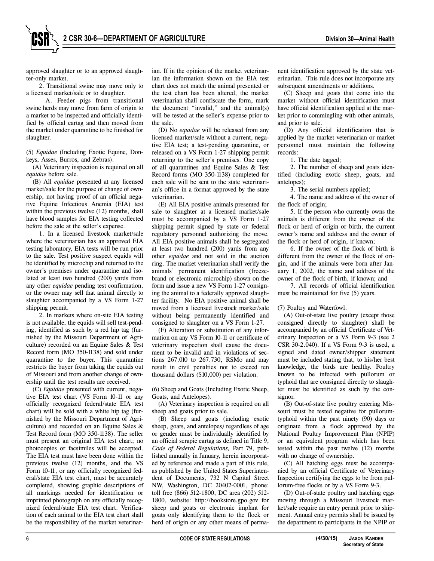approved slaughter or to an approved slaughter-only market.

2. Transitional swine may move only to a licensed market/sale or to slaughter.

A. Feeder pigs from transitional swine herds may move from farm of origin to a market to be inspected and officially identified by official eartag and then moved from the market under quarantine to be finished for slaughter.

(5) *Equidae* (Including Exotic Equine, Donkeys, Asses, Burros, and Zebras).

(A) Veterinary inspection is required on all *equidae* before sale.

(B) All *equidae* presented at any licensed market/sale for the purpose of change of ownership, not having proof of an official negative Equine Infectious Anemia (EIA) test within the previous twelve (12) months, shall have blood samples for EIA testing collected before the sale at the seller's expense.

1. In a licensed livestock market/sale where the veterinarian has an approved EIA testing laboratory, EIA tests will be run prior to the sale. Test positive suspect equids will be identified by microchip and returned to the owner's premises under quarantine and isolated at least two hundred (200) yards from any other *equidae* pending test confirmation, or the owner may sell that animal directly to slaughter accompanied by a VS Form 1-27 shipping permit.

2. In markets where on-site EIA testing is not available, the equids will sell test-pending, identified as such by a red hip tag (furnished by the Missouri Department of Agriculture) recorded on an Equine Sales & Test Record form (MO 350-1138) and sold under quarantine to the buyer. This quarantine restricts the buyer from taking the equids out of Missouri and from another change of ownership until the test results are received.

(C) *Equidae* presented with current, negative EIA test chart (VS Form 10-11 or any officially recognized federal/state EIA test chart) will be sold with a white hip tag (furnished by the Missouri Department of Agriculture) and recorded on an Equine Sales & Test Record form (MO 350-1138). The seller must present an original EIA test chart; no photocopies or facsimiles will be accepted. The EIA test must have been done within the previous twelve (12) months, and the VS Form 10-11, or any officially recognized federal/state EIA test chart, must be accurately completed, showing graphic descriptions of all markings needed for identification or imprinted photograph on any officially recognized federal/state EIA test chart. Verification of each animal to the EIA test chart shall be the responsibility of the market veterinarian. If in the opinion of the market veterinarian the information shown on the EIA test chart does not match the animal presented or the test chart has been altered, the market veterinarian shall confiscate the form, mark the document "invalid," and the animal(s) will be tested at the seller's expense prior to the sale.

(D) No *equidae* will be released from any licensed market/sale without a current, negative EIA test; a test-pending quarantine, or released on a VS Form 1-27 shipping permit returning to the seller's premises. One copy of all quarantines and Equine Sales & Test Record forms (MO 350-1138) completed for each sale will be sent to the state veterinarian's office in a format approved by the state veterinarian.

(E) All EIA positive animals presented for sale to slaughter at a licensed market/sale must be accompanied by a VS Form 1-27 shipping permit signed by state or federal regulatory personnel authorizing the move. All EIA positive animals shall be segregated at least two hundred (200) yards from any other *equidae* and not sold in the auction ring. The market veterinarian shall verify the animals' permanent identification (freezebrand or electronic microchip) shown on the form and issue a new VS Form 1-27 consigning the animal to a federally approved slaughter facility. No EIA positive animal shall be moved from a licensed livestock market/sale without being permanently identified and consigned to slaughter on a VS Form 1-27.

(F) Alteration or substitution of any information on any VS Form 10-11 or certificate of veterinary inspection shall cause the document to be invalid and in violations of sections 267.010 to 267.730, RSMo and may result in civil penalties not to exceed ten thousand dollars (\$10,000) per violation.

(6) Sheep and Goats (Including Exotic Sheep, Goats, and Antelopes).

(A) Veterinary inspection is required on all sheep and goats prior to sale.

(B) Sheep and goats (including exotic sheep, goats, and antelopes*)* regardless of age or gender must be individually identified by an official scrapie eartag as defined in Title 9, *Code of Federal Regulations,* Part 79, published annually in January, herein incorporated by reference and made a part of this rule, as published by the United States Superintendent of Documents, 732 N Capital Street NW, Washington, DC 20402-0001, phone: toll free (866) 512-1800, DC area (202) 512- 1800, website: http://bookstore.gpo.gov for sheep and goats or electronic implant for goats only identifying them to the flock or herd of origin or any other means of perma-

nent identification approved by the state veterinarian. This rule does not incorporate any subsequent amendments or additions.

(C) Sheep and goats that come into the market without official identification must have official identification applied at the market prior to commingling with other animals, and prior to sale.

(D) Any official identification that is applied by the market veterinarian or market personnel must maintain the following records:

1. The date tagged;

2. The number of sheep and goats identified (including exotic sheep, goats, and antelopes);

3. The serial numbers applied;

4. The name and address of the owner of the flock of origin;

5. If the person who currently owns the animals is different from the owner of the flock or herd of origin or birth, the current owner's name and address and the owner of the flock or herd of origin, if known;

6. If the owner of the flock of birth is different from the owner of the flock of origin, and if the animals were born after January 1, 2002, the name and address of the owner of the flock of birth, if known; and

7. All records of official identification must be maintained for five (5) years.

(7) Poultry and Waterfowl.

(A) Out-of-state live poultry (except those consigned directly to slaughter) shall be accompanied by an official Certificate of Veterinary Inspection or a VS Form 9-3 (see 2 CSR 30-2.040). If a VS Form 9-3 is used, a signed and dated owner/shipper statement must be included stating that, to his/her best knowledge, the birds are healthy. Poultry known to be infected with pullorum or typhoid that are consigned directly to slaughter must be identified as such by the consignor.

(B) Out-of-state live poultry entering Missouri must be tested negative for pullorumtyphoid within the past ninety (90) days or originate from a flock approved by the National Poultry Improvement Plan (NPIP) or an equivalent program which has been tested within the past twelve (12) months with no change of ownership.

(C) All hatching eggs must be accompanied by an official Certificate of Veterinary Inspection certifying the eggs to be from pullorum-free flocks or by a VS Form 9-3.

(D) Out-of-state poultry and hatching eggs moving through a Missouri livestock market/sale require an entry permit prior to shipment. Annual entry permits shall be issued by the department to participants in the NPIP or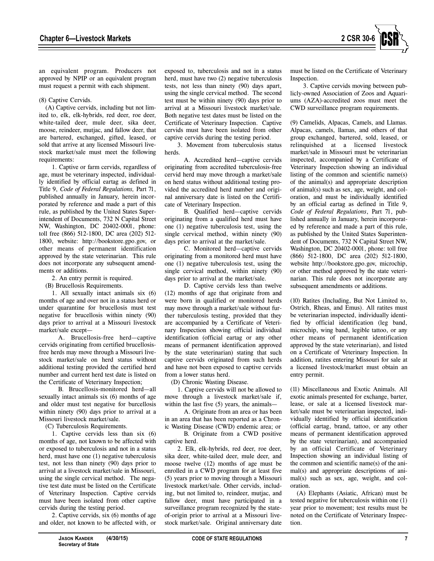

an equivalent program. Producers not approved by NPIP or an equivalent program must request a permit with each shipment.

### (8) Captive Cervids.

(A) Captive cervids, including but not limited to, elk, elk-hybrids, red deer, roe deer, white-tailed deer, mule deer, sika deer, moose, reindeer, mutjac, and fallow deer, that are bartered, exchanged, gifted, leased, or sold that arrive at any licensed Missouri livestock market/sale must meet the following requirements:

1. Captive or farm cervids, regardless of age, must be veterinary inspected, individually identified by official eartag as defined in Title 9, *Code of Federal Regulations,* Part 71, published annually in January, herein incorporated by reference and made a part of this rule, as published by the United States Superintendent of Documents, 732 N Capital Street NW, Washington, DC 20402-0001, phone: toll free (866) 512-1800, DC area (202) 512- 1800, website: http://bookstore.gpo.gov, or other means of permanent identification approved by the state veterinarian. This rule does not incorporate any subsequent amendments or additions.

2. An entry permit is required.

(B) Brucellosis Requirements.

1. All sexually intact animals six (6) months of age and over not in a status herd or under quarantine for brucellosis must test negative for brucellosis within ninety (90) days prior to arrival at a Missouri livestock market/sale except—

A. Brucellosis-free herd—captive cervids originating from certified brucellosisfree herds may move through a Missouri livestock market/sale on herd status without additional testing provided the certified herd number and current herd test date is listed on the Certificate of Veterinary Inspection;

B. Brucellosis-monitored herd—all sexually intact animals six (6) months of age and older must test negative for burcellosis within ninety (90) days prior to arrival at a Missouri livestock market/sale.

(C) Tuberculosis Requirements.

1. Captive cervids less than six (6) months of age, not known to be affected with or exposed to tuberculosis and not in a status herd, must have one (1) negative tuberculosis test, not less than ninety (90) days prior to arrival at a livestock market/sale in Missouri, using the single cervical method. The negative test date must be listed on the Certificate of Veterinary Inspection. Captive cervids must have been isolated from other captive cervids during the testing period.

2. Captive cervids, six (6) months of age and older, not known to be affected with, or

exposed to, tuberculosis and not in a status herd, must have two (2) negative tuberculosis tests, not less than ninety (90) days apart, using the single cervical method. The second test must be within ninety (90) days prior to arrival at a Missouri livestock market/sale. Both negative test dates must be listed on the Certificate of Veterinary Inspection. Captive cervids must have been isolated from other captive cervids during the testing period.

3. Movement from tuberculosis status herds.

A. Accredited herd—captive cervids originating from accredited tuberculosis-free cervid herd may move through a market/sale on herd status without additional testing provided the accredited herd number and original anniversary date is listed on the Certificate of Veterinary Inspection.

B. Qualified herd—captive cervids originating from a qualified herd must have one (1) negative tuberculosis test, using the single cervical method, within ninety (90) days prior to arrival at the market/sale.

C. Monitored herd—captive cervids originating from a monitored herd must have one (1) negative tuberculosis test, using the single cervical method, within ninety (90) days prior to arrival at the market/sale.

D. Captive cervids less than twelve (12) months of age that originate from and were born in qualified or monitored herds may move through a market/sale without further tuberculosis testing, provided that they are accompanied by a Certificate of Veterinary Inspection showing official individual identification (official eartag or any other means of permanent identification approved by the state veterinarian) stating that such captive cervids originated from such herds and have not been exposed to captive cervids from a lower status herd.

(D) Chronic Wasting Disease.

1. Captive cervids will not be allowed to move through a livestock market/sale if, within the last five (5) years, the animals—

A. Originate from an area or has been in an area that has been reported as a Chronic Wasting Disease (CWD) endemic area; or

B. Originate from a CWD positive captive herd.

2. Elk, elk-hybrids, red deer, roe deer, sika deer, white-tailed deer, mule deer, and moose twelve (12) months of age must be enrolled in a CWD program for at least five (5) years prior to moving through a Missouri livestock market/sale. Other cervids, including, but not limited to, reindeer, mutjac, and fallow deer, must have participated in a surveillance program recognized by the stateof-origin prior to arrival at a Missouri livestock market/sale. Original anniversary date must be listed on the Certificate of Veterinary Inspection.

3. Captive cervids moving between publicly-owned Association of Zoos and Aquariums (AZA)-accredited zoos must meet the CWD surveillance program requirements.

(9) Camelids, Alpacas, Camels, and Llamas. Alpacas, camels, llamas, and others of that group exchanged, bartered, sold, leased, or relinquished at a licensed livestock market/sale in Missouri must be veterinarian inspected, accompanied by a Certificate of Veterinary Inspection showing an individual listing of the common and scientific name(s) of the animal(s) and appropriate description of animal(s) such as sex, age, weight, and coloration, and must be individually identified by an official eartag as defined in Title 9, *Code of Federal Regulations*, Part 71, published annually in January, herein incorporated by reference and made a part of this rule, as published by the United States Superintendent of Documents, 732 N Capital Street NW, Washington, DC 20402-0001, phone: toll free (866) 512-1800, DC area (202) 512-1800, website http://bookstore.gpo.gov, microchip, or other method approved by the state veterinarian. This rule does not incorporate any subsequent amendments or additions.

(10) Ratites (Including, But Not Limited to, Ostrich, Rheas, and Emus). All ratites must be veterinarian inspected, individually identified by official identification (leg band, microchip, wing band, legible tattoo, or any other means of permanent identification approved by the state veterinarian), and listed on a Certificate of Veterinary Inspection. In addition, ratites entering Missouri for sale at a licensed livestock/market must obtain an entry permit.

(11) Miscellaneous and Exotic Animals. All exotic animals presented for exchange, barter, lease, or sale at a licensed livestock market/sale must be veterinarian inspected, individually identified by official identification (official eartag, brand, tattoo, or any other means of permanent identification approved by the state veterinarian), and accompanied by an official Certificate of Veterinary Inspection showing an individual listing of the common and scientific name(s) of the animal(s) and appropriate descriptions of animal(s) such as sex, age, weight, and coloration.

(A) Elephants (Asiatic, African) must be tested negative for tuberculosis within one (1) year prior to movement; test results must be noted on the Certificate of Veterinary Inspection.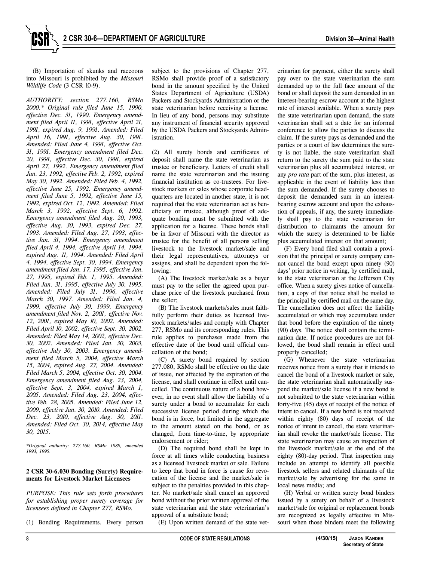(B) Importation of skunks and raccoons into Missouri is prohibited by the *Missouri Wildlife Code* (3 CSR 10-9).

*AUTHORITY: section 277.160, RSMo 2000.\* Original rule filed June 15, 1990, effective Dec. 31, 1990. Emergency amendment filed April 11, 1991, effective April 21, 1991, expired Aug. 9, 1991. Amended: Filed April 16, 1991, effective Aug. 30, 1991. Amended: Filed June 4, 1991, effective Oct. 31, 1991. Emergency amendment filed Dec. 20, 1991, effective Dec. 30, 1991, expired April 27, 1992. Emergency amendment filed Jan. 23, 1992, effective Feb. 2, 1992, expired May 30, 1992. Amended: Filed Feb. 4, 1992, effective June 25, 1992. Emergency amendment filed June 5, 1992, effective June 15, 1992, expired Oct. 12, 1992. Amended: Filed March 3, 1992, effective Sept. 6, 1992. Emergency amendment filed Aug. 20, 1993, effective Aug. 30, 1993, expired Dec. 27, 1993. Amended: Filed Aug. 27, 1993, effective Jan. 31, 1994. Emergency amendment filed April 4, 1994, effective April 14, 1994, expired Aug. 11, 1994. Amended: Filed April 4, 1994, effective Sept. 30, 1994. Emergency amendment filed Jan. 17, 1995, effective Jan. 27, 1995, expired Feb. 1, 1995. Amended: Filed Jan. 31, 1995, effective July 30, 1995. Amended: Filed July 31, 1996, effective March 30, 1997. Amended: Filed Jan. 4, 1999, effective July 30, 1999. Emergency amendment filed Nov. 2, 2001, effective Nov. 12, 2001, expired May 10, 2002. Amended: Filed April 10, 2002, effective Sept. 30, 2002. Amended: Filed May 14, 2002, effective Dec. 30, 2002. Amended: Filed Jan. 30, 2003, effective July 30, 2003. Emergency amendment filed March 5, 2004, effective March 15, 2004, expired Aug. 27, 2004. Amended: Filed March 5, 2004, effective Oct. 30, 2004. Emergency amendment filed Aug. 23, 2004, effective Sept. 3, 2004, expired March 1, 2005. Amended: Filed Aug. 23, 2004, effective Feb. 28, 2005. Amended: Filed June 12, 2009, effective Jan. 30, 2010. Amended: Filed Dec. 23, 2010, effective Aug. 30, 2011. Amended: Filed Oct. 30, 2014, effective May 30, 2015.*

*\*Original authority: 277.160, RSMo 1989, amended 1993, 1995.*

## **2 CSR 30-6.030 Bonding (Surety) Requirements for Livestock Market Licensees**

*PURPOSE: This rule sets forth procedures for establishing proper surety coverage for licensees defined in Chapter 277, RSMo.* 

(1) Bonding Requirements. Every person

subject to the provisions of Chapter 277, RSMo shall provide proof of a satisfactory bond in the amount specified by the United States Department of Agriculture (USDA) Packers and Stockyards Administration or the state veterinarian before receiving a license. In lieu of any bond, persons may substitute any instrument of financial security approved by the USDA Packers and Stockyards Administration.

(2) All surety bonds and certificates of deposit shall name the state veterinarian as trustee or beneficiary. Letters of credit shall name the state veterinarian and the issuing financial institution as co-trustees. For livestock markets or sales whose corporate headquarters are located in another state, it is not required that the state veterinarian act as beneficiary or trustee, although proof of adequate bonding must be submitted with the application for a license. These bonds shall be in favor of Missouri with the director as trustee for the benefit of all persons selling livestock to the livestock market/sale and their legal representatives, attorneys or assigns, and shall be dependent upon the following:

(A) The livestock market/sale as a buyer must pay to the seller the agreed upon purchase price of the livestock purchased from the seller;

(B) The livestock markets/sales must faithfully perform their duties as licensed livestock markets/sales and comply with Chapter 277, RSMo and its corresponding rules. This rule applies to purchases made from the effective date of the bond until official cancellation of the bond;

(C) A surety bond required by section 277.080, RSMo shall be effective on the date of issue, not affected by the expiration of the license, and shall continue in effect until cancelled. The continuous nature of a bond however, in no event shall allow the liability of a surety under a bond to accumulate for each successive license period during which the bond is in force, but limited in the aggregate to the amount stated on the bond, or as changed, from time-to-time, by appropriate endorsement or rider;

(D) The required bond shall be kept in force at all times while conducting business as a licensed livestock market or sale. Failure to keep that bond in force is cause for revocation of the license and the market/sale is subject to the penalties provided in this chapter. No market/sale shall cancel an approved bond without the prior written approval of the state veterinarian and the state veterinarian's approval of a substitute bond;

(E) Upon written demand of the state vet-

erinarian for payment, either the surety shall pay over to the state veterinarian the sum demanded up to the full face amount of the bond or shall deposit the sum demanded in an interest-bearing escrow account at the highest rate of interest available. When a surety pays the state veterinarian upon demand, the state veterinarian shall set a date for an informal conference to allow the parties to discuss the claim. If the surety pays as demanded and the parties or a court of law determines the surety is not liable, the state veterinarian shall return to the surety the sum paid to the state veterinarian plus all accumulated interest, or any *pro rata* part of the sum, plus interest, as applicable in the event of liability less than the sum demanded. If the surety chooses to deposit the demanded sum in an interestbearing escrow account and upon the exhaustion of appeals, if any, the surety immediately shall pay to the state veterinarian for distribution to claimants the amount for which the surety is determined to be liable plus accumulated interest on that amount;

(F) Every bond filed shall contain a provision that the principal or surety company cannot cancel the bond except upon ninety (90) days' prior notice in writing, by certified mail, to the state veterinarian at the Jefferson City office. When a surety gives notice of cancellation, a copy of that notice shall be mailed to the principal by certified mail on the same day. The cancellation does not affect the liability accumulated or which may accumulate under that bond before the expiration of the ninety (90) days. The notice shall contain the termination date. If notice procedures are not followed, the bond shall remain in effect until properly cancelled;

(G) Whenever the state veterinarian receives notice from a surety that it intends to cancel the bond of a livestock market or sale, the state veterinarian shall automatically suspend the market/sale license if a new bond is not submitted to the state veterinarian within forty-five (45) days of receipt of the notice of intent to cancel. If a new bond is not received within eighty (80) days of receipt of the notice of intent to cancel, the state veterinarian shall revoke the market/sale license. The state veterinarian may cause an inspection of the livestock market/sale at the end of the eighty (80)-day period. That inspection may include an attempt to identify all possible livestock sellers and related claimants of the market/sale by advertising for the same in local news media; and

(H) Verbal or written surety bond binders issued by a surety on behalf of a livestock market/sale for original or replacement bonds are recognized as legally effective in Missouri when those binders meet the following